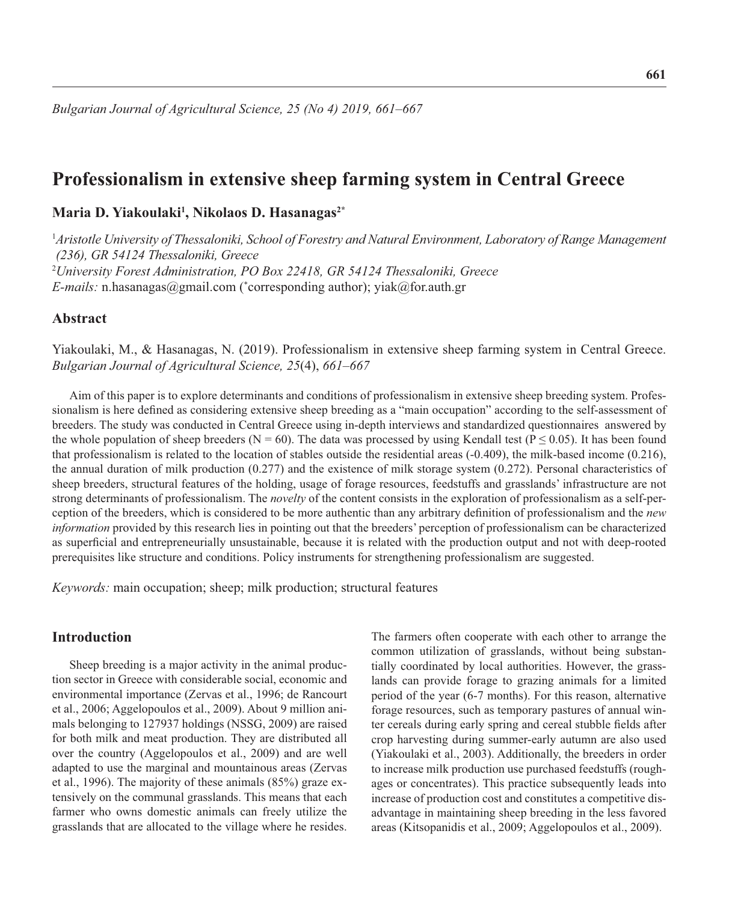# **Professionalism in extensive sheep farming system in Central Greece**

# **Maria D. Yiakoulaki1 , Nikolaos D. Hasanagas2\***

<sup>1</sup>*Aristotle University of Thessaloniki, School of Forestry and Natural Environment, Laboratory of Range Management (236), GR 54124 Thessaloniki, Greece* 2 *University Forest Administration, PO Box 22418, GR 54124 Thessaloniki, Greece E-mails:* n.hasanagas@gmail.com (\* corresponding author); yiak@for.auth.gr

# **Abstract**

Yiakoulaki, M., & Hasanagas, N. (2019). Professionalism in extensive sheep farming system in Central Greece. *Bulgarian Journal of Agricultural Science, 25*(4), *661–667*

Aim of this paper is to explore determinants and conditions of professionalism in extensive sheep breeding system. Professionalism is here defined as considering extensive sheep breeding as a "main occupation" according to the self-assessment of breeders. The study was conducted in Central Greece using in-depth interviews and standardized questionnaires answered by the whole population of sheep breeders ( $N = 60$ ). The data was processed by using Kendall test ( $P \le 0.05$ ). It has been found that professionalism is related to the location of stables outside the residential areas (-0.409), the milk-based income (0.216), the annual duration of milk production (0.277) and the existence of milk storage system (0.272). Personal characteristics of sheep breeders, structural features of the holding, usage of forage resources, feedstuffs and grasslands' infrastructure are not strong determinants of professionalism. The *novelty* of the content consists in the exploration of professionalism as a self-perception of the breeders, which is considered to be more authentic than any arbitrary definition of professionalism and the *new information* provided by this research lies in pointing out that the breeders' perception of professionalism can be characterized as superficial and entrepreneurially unsustainable, because it is related with the production output and not with deep-rooted prerequisites like structure and conditions. Policy instruments for strengthening professionalism are suggested.

*Keywords:* main occupation; sheep; milk production; structural features

# **Introduction**

Sheep breeding is a major activity in the animal production sector in Greece with considerable social, economic and environmental importance (Zervas et al., 1996; de Rancourt et al., 2006; Aggelopoulos et al., 2009). About 9 million animals belonging to 127937 holdings (NSSG, 2009) are raised for both milk and meat production. They are distributed all over the country (Aggelopoulos et al., 2009) and are well adapted to use the marginal and mountainous areas (Zervas et al., 1996). The majority of these animals (85%) graze extensively on the communal grasslands. This means that each farmer who owns domestic animals can freely utilize the grasslands that are allocated to the village where he resides.

The farmers often cooperate with each other to arrange the common utilization of grasslands, without being substantially coordinated by local authorities. However, the grasslands can provide forage to grazing animals for a limited period of the year (6-7 months). For this reason, alternative forage resources, such as temporary pastures of annual winter cereals during early spring and cereal stubble fields after crop harvesting during summer-early autumn are also used (Yiakoulaki et al., 2003). Additionally, the breeders in order to increase milk production use purchased feedstuffs (roughages or concentrates). This practice subsequently leads into increase of production cost and constitutes a competitive disadvantage in maintaining sheep breeding in the less favored areas (Kitsopanidis et al., 2009; Aggelopoulos et al., 2009).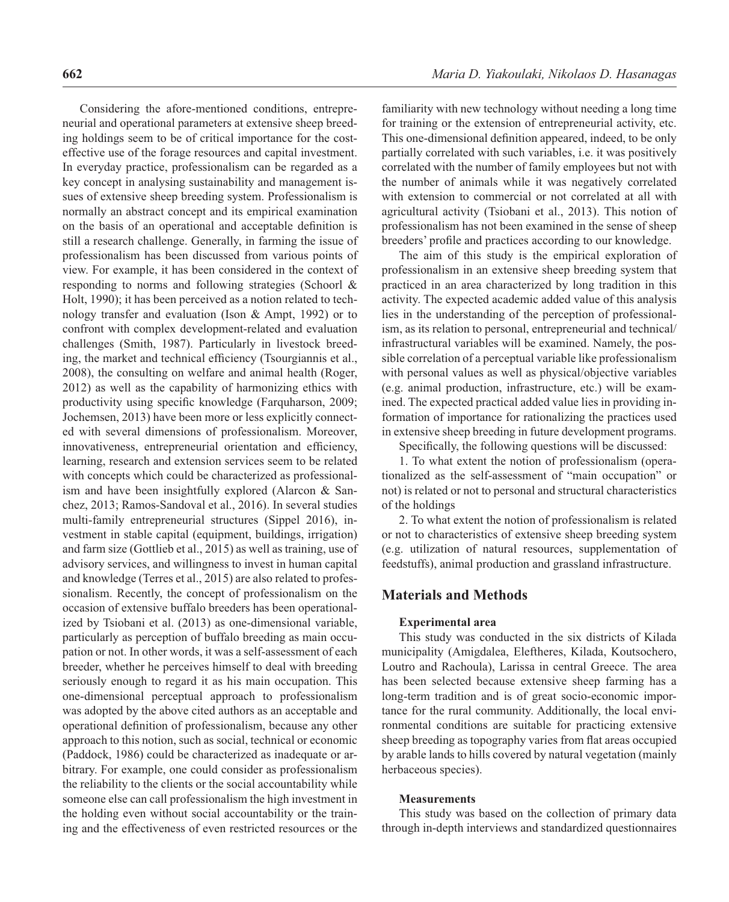Considering the afore-mentioned conditions, entrepreneurial and operational parameters at extensive sheep breeding holdings seem to be of critical importance for the costeffective use of the forage resources and capital investment. In everyday practice, professionalism can be regarded as a key concept in analysing sustainability and management issues of extensive sheep breeding system. Professionalism is normally an abstract concept and its empirical examination on the basis of an operational and acceptable definition is still a research challenge. Generally, in farming the issue of professionalism has been discussed from various points of view. For example, it has been considered in the context of responding to norms and following strategies (Schoorl & Holt, 1990); it has been perceived as a notion related to technology transfer and evaluation (Ison & Ampt, 1992) or to confront with complex development-related and evaluation challenges (Smith, 1987). Particularly in livestock breeding, the market and technical efficiency (Tsourgiannis et al., 2008), the consulting on welfare and animal health (Roger, 2012) as well as the capability of harmonizing ethics with productivity using specific knowledge (Farquharson, 2009; Jochemsen, 2013) have been more or less explicitly connected with several dimensions of professionalism. Moreover, innovativeness, entrepreneurial orientation and efficiency, learning, research and extension services seem to be related with concepts which could be characterized as professionalism and have been insightfully explored (Alarcon & Sanchez, 2013; Ramos-Sandoval et al., 2016). In several studies multi-family entrepreneurial structures (Sippel 2016), investment in stable capital (equipment, buildings, irrigation) and farm size (Gottlieb et al., 2015) as well as training, use of advisory services, and willingness to invest in human capital and knowledge (Terres et al., 2015) are also related to professionalism. Recently, the concept of professionalism on the occasion of extensive buffalo breeders has been operationalized by Tsiobani et al. (2013) as one-dimensional variable, particularly as perception of buffalo breeding as main occupation or not. In other words, it was a self-assessment of each breeder, whether he perceives himself to deal with breeding seriously enough to regard it as his main occupation. This one-dimensional perceptual approach to professionalism was adopted by the above cited authors as an acceptable and operational definition of professionalism, because any other approach to this notion, such as social, technical or economic (Paddock, 1986) could be characterized as inadequate or arbitrary. For example, one could consider as professionalism the reliability to the clients or the social accountability while someone else can call professionalism the high investment in the holding even without social accountability or the training and the effectiveness of even restricted resources or the familiarity with new technology without needing a long time for training or the extension of entrepreneurial activity, etc. This one-dimensional definition appeared, indeed, to be only partially correlated with such variables, i.e. it was positively correlated with the number of family employees but not with the number of animals while it was negatively correlated with extension to commercial or not correlated at all with agricultural activity (Tsiobani et al., 2013). This notion of professionalism has not been examined in the sense of sheep breeders' profile and practices according to our knowledge.

The aim of this study is the empirical exploration of professionalism in an extensive sheep breeding system that practiced in an area characterized by long tradition in this activity. The expected academic added value of this analysis lies in the understanding of the perception of professionalism, as its relation to personal, entrepreneurial and technical/ infrastructural variables will be examined. Namely, the possible correlation of a perceptual variable like professionalism with personal values as well as physical/objective variables (e.g. animal production, infrastructure, etc.) will be examined. The expected practical added value lies in providing information of importance for rationalizing the practices used in extensive sheep breeding in future development programs.

Specifically, the following questions will be discussed:

1. To what extent the notion of professionalism (operationalized as the self-assessment of "main occupation" or not) is related or not to personal and structural characteristics of the holdings

2. To what extent the notion of professionalism is related or not to characteristics of extensive sheep breeding system (e.g. utilization of natural resources, supplementation of feedstuffs), animal production and grassland infrastructure.

# **Materials and Methods**

### **Experimental area**

This study was conducted in the six districts of Kilada municipality (Amigdalea, Eleftheres, Kilada, Koutsochero, Loutro and Rachoula), Larissa in central Greece. The area has been selected because extensive sheep farming has a long-term tradition and is of great socio-economic importance for the rural community. Additionally, the local environmental conditions are suitable for practicing extensive sheep breeding as topography varies from flat areas occupied by arable lands to hills covered by natural vegetation (mainly herbaceous species).

### **Measurements**

This study was based on the collection of primary data through in-depth interviews and standardized questionnaires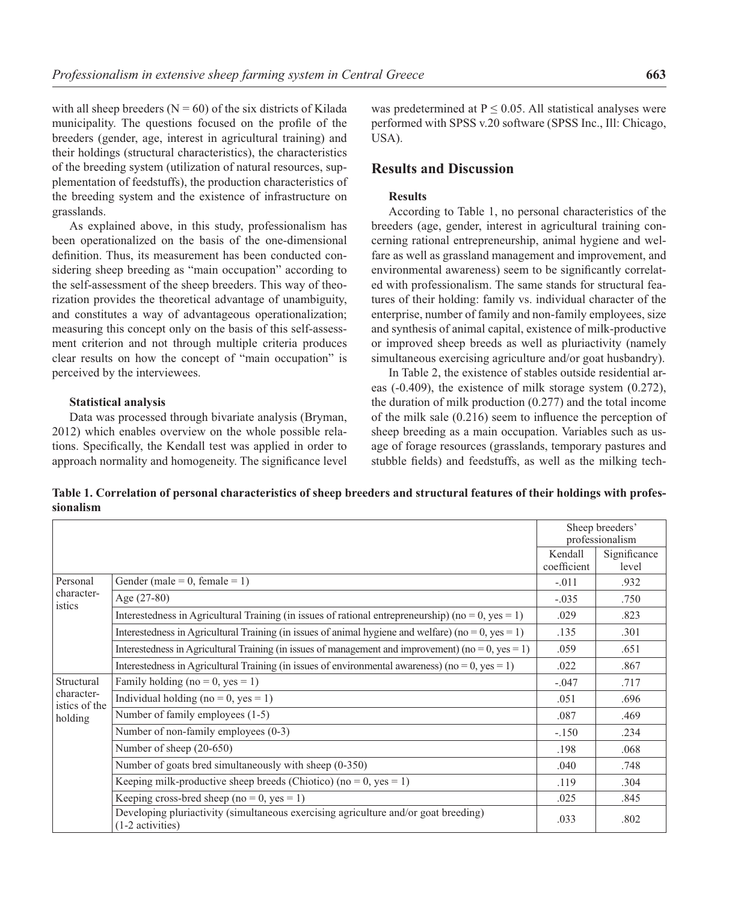with all sheep breeders ( $N = 60$ ) of the six districts of Kilada municipality. The questions focused on the profile of the breeders (gender, age, interest in agricultural training) and their holdings (structural characteristics), the characteristics of the breeding system (utilization of natural resources, supplementation of feedstuffs), the production characteristics of the breeding system and the existence of infrastructure on grasslands.

As explained above, in this study, professionalism has been operationalized on the basis of the one-dimensional definition. Thus, its measurement has been conducted considering sheep breeding as "main occupation" according to the self-assessment of the sheep breeders. This way of theorization provides the theoretical advantage of unambiguity, and constitutes a way of advantageous operationalization; measuring this concept only on the basis of this self-assessment criterion and not through multiple criteria produces clear results on how the concept of "main occupation" is perceived by the interviewees.

#### **Statistical analysis**

Data was processed through bivariate analysis (Bryman, 2012) which enables overview on the whole possible relations. Specifically, the Kendall test was applied in order to approach normality and homogeneity. The significance level

was predetermined at  $P \leq 0.05$ . All statistical analyses were performed with SPSS v.20 software (SPSS Inc., Ill: Chicago, USA).

# **Results and Discussion**

### **Results**

According to Table 1, no personal characteristics of the breeders (age, gender, interest in agricultural training concerning rational entrepreneurship, animal hygiene and welfare as well as grassland management and improvement, and environmental awareness) seem to be significantly correlated with professionalism. The same stands for structural features of their holding: family vs. individual character of the enterprise, number of family and non-family employees, size and synthesis of animal capital, existence of milk-productive or improved sheep breeds as well as pluriactivity (namely simultaneous exercising agriculture and/or goat husbandry).

In Table 2, the existence of stables outside residential areas (-0.409), the existence of milk storage system (0.272), the duration of milk production (0.277) and the total income of the milk sale  $(0.216)$  seem to influence the perception of sheep breeding as a main occupation. Variables such as usage of forage resources (grasslands, temporary pastures and stubble fields) and feedstuffs, as well as the milking tech-

**Table 1. Correlation of personal characteristics of sheep breeders and structural features of their holdings with professionalism**

|                                                      |                                                                                                         | Sheep breeders'<br>professionalism |                       |
|------------------------------------------------------|---------------------------------------------------------------------------------------------------------|------------------------------------|-----------------------|
|                                                      |                                                                                                         | Kendall<br>coefficient             | Significance<br>level |
| Personal<br>character-<br>istics                     | Gender (male = 0, female = 1)                                                                           | $-.011$                            | .932                  |
|                                                      | Age $(27-80)$                                                                                           | $-.035$                            | .750                  |
|                                                      | Interestedness in Agricultural Training (in issues of rational entrepreneurship) (no = 0, yes = 1)      | .029                               | .823                  |
|                                                      | Interestedness in Agricultural Training (in issues of animal hygiene and welfare) (no = 0, yes = 1)     | .135                               | .301                  |
|                                                      | Interestedness in Agricultural Training (in issues of management and improvement) (no = 0, yes = 1)     | .059                               | .651                  |
|                                                      | Interestedness in Agricultural Training (in issues of environmental awareness) ( $no = 0$ , $yes = 1$ ) | .022                               | .867                  |
| Structural<br>character-<br>istics of the<br>holding | Family holding (no = 0, yes = 1)                                                                        | $-.047$                            | .717                  |
|                                                      | Individual holding (no = 0, yes = 1)                                                                    | .051                               | .696                  |
|                                                      | Number of family employees (1-5)                                                                        | .087                               | .469                  |
|                                                      | Number of non-family employees (0-3)                                                                    | $-.150$                            | .234                  |
|                                                      | Number of sheep (20-650)                                                                                | .198                               | .068                  |
|                                                      | Number of goats bred simultaneously with sheep (0-350)                                                  | .040                               | .748                  |
|                                                      | Keeping milk-productive sheep breeds (Chiotico) (no = 0, yes = 1)                                       | .119                               | .304                  |
|                                                      | Keeping cross-bred sheep (no = 0, yes = 1)                                                              | .025                               | .845                  |
|                                                      | Developing pluriactivity (simultaneous exercising agriculture and/or goat breeding)<br>(1-2 activities) | .033                               | .802                  |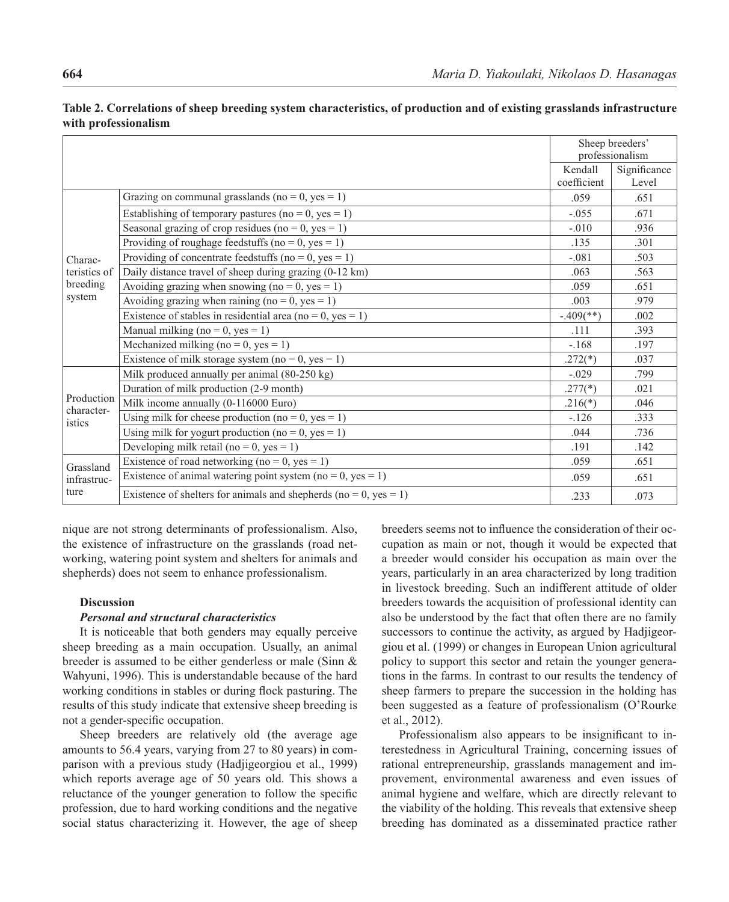|                                               |                                                                   |                         | Sheep breeders'<br>professionalism |  |
|-----------------------------------------------|-------------------------------------------------------------------|-------------------------|------------------------------------|--|
|                                               |                                                                   | Kendall                 | Significance                       |  |
|                                               |                                                                   | coefficient             | Level                              |  |
| Charac-<br>teristics of<br>breeding<br>system | Grazing on communal grasslands (no = 0, yes = 1)                  | .059                    | .651                               |  |
|                                               | Establishing of temporary pastures (no = 0, yes = 1)              | $-.055$                 | .671                               |  |
|                                               | Seasonal grazing of crop residues (no = 0, yes = 1)               | $-.010$                 | .936                               |  |
|                                               | Providing of roughage feedstuffs ( $no = 0$ , $yes = 1$ )         | .135                    | .301                               |  |
|                                               | Providing of concentrate feedstuffs (no = 0, yes = 1)             | $-.081$                 | .503                               |  |
|                                               | Daily distance travel of sheep during grazing (0-12 km)           | .063                    | .563                               |  |
|                                               | Avoiding grazing when snowing (no = 0, yes = 1)                   | .059                    | .651                               |  |
|                                               | Avoiding grazing when raining (no = 0, yes = 1)                   | .003                    | .979                               |  |
|                                               | Existence of stables in residential area (no = 0, yes = 1)        | $-.409$ <sup>**</sup> ) | .002                               |  |
|                                               | Manual milking (no = 0, yes = 1)                                  | .111                    | .393                               |  |
|                                               | Mechanized milking (no = $0$ , yes = 1)                           | $-.168$                 | .197                               |  |
|                                               | Existence of milk storage system (no = 0, yes = 1)                | $.272(*)$               | .037                               |  |
| Production<br>character-<br>istics            | Milk produced annually per animal (80-250 kg)                     | $-.029$                 | .799                               |  |
|                                               | Duration of milk production (2-9 month)                           | $.277(*)$               | .021                               |  |
|                                               | Milk income annually (0-116000 Euro)                              | $.216(*)$               | .046                               |  |
|                                               | Using milk for cheese production (no = 0, yes = 1)                | $-126$                  | .333                               |  |
|                                               | Using milk for yogurt production (no = 0, yes = 1)                | .044                    | .736                               |  |
|                                               | Developing milk retail (no = 0, yes = 1)                          | .191                    | .142                               |  |
| Grassland<br>infrastruc-<br>ture              | Existence of road networking (no = 0, yes = 1)                    | .059                    | .651                               |  |
|                                               | Existence of animal watering point system (no = 0, yes = 1)       | .059                    | .651                               |  |
|                                               | Existence of shelters for animals and shepherds (no = 0, yes = 1) | .233                    | .073                               |  |

**Table 2. Correlations of sheep breeding system characteristics, of production and of existing grasslands infrastructure with professionalism**

nique are not strong determinants of professionalism. Also, the existence of infrastructure on the grasslands (road networking, watering point system and shelters for animals and shepherds) does not seem to enhance professionalism.

### **Discussion**

### *Personal and structural characteristics*

It is noticeable that both genders may equally perceive sheep breeding as a main occupation. Usually, an animal breeder is assumed to be either genderless or male (Sinn & Wahyuni, 1996). This is understandable because of the hard working conditions in stables or during flock pasturing. The results of this study indicate that extensive sheep breeding is not a gender-specific occupation.

Sheep breeders are relatively old (the average age amounts to 56.4 years, varying from 27 to 80 years) in comparison with a previous study (Hadjigeorgiou et al., 1999) which reports average age of 50 years old. This shows a reluctance of the younger generation to follow the specific profession, due to hard working conditions and the negative social status characterizing it. However, the age of sheep breeders seems not to influence the consideration of their occupation as main or not, though it would be expected that a breeder would consider his occupation as main over the years, particularly in an area characterized by long tradition in livestock breeding. Such an indifferent attitude of older breeders towards the acquisition of professional identity can also be understood by the fact that often there are no family successors to continue the activity, as argued by Hadjigeorgiou et al. (1999) or changes in European Union agricultural policy to support this sector and retain the younger generations in the farms. In contrast to our results the tendency of sheep farmers to prepare the succession in the holding has been suggested as a feature of professionalism (O'Rourke et al., 2012).

Professionalism also appears to be insignificant to interestedness in Agricultural Training, concerning issues of rational entrepreneurship, grasslands management and improvement, environmental awareness and even issues of animal hygiene and welfare, which are directly relevant to the viability of the holding. This reveals that extensive sheep breeding has dominated as a disseminated practice rather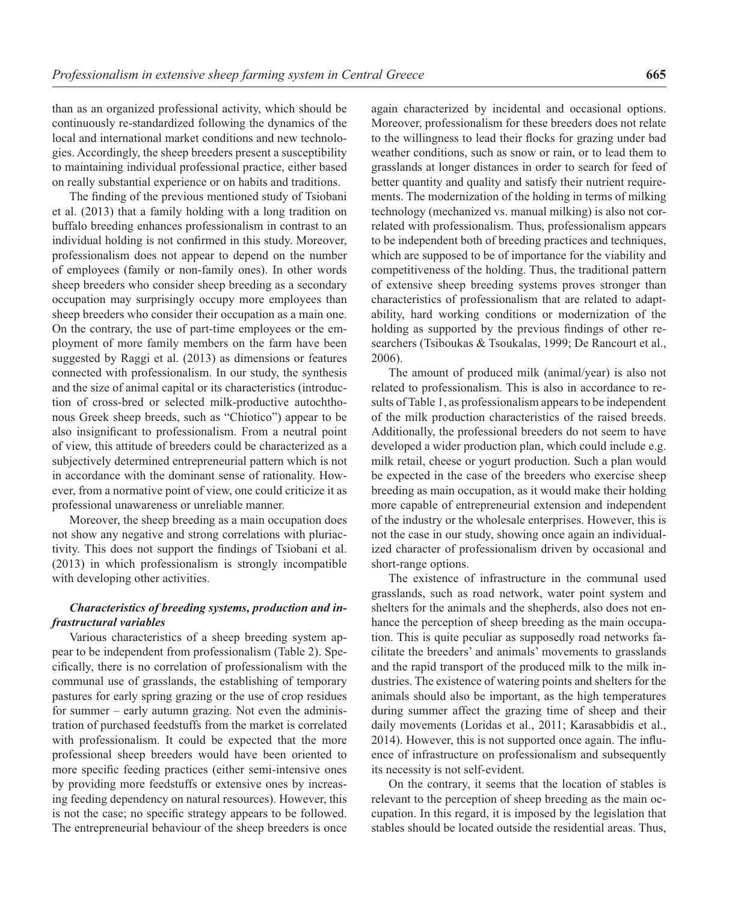than as an organized professional activity, which should be continuously re-standardized following the dynamics of the local and international market conditions and new technologies. Accordingly, the sheep breeders present a susceptibility to maintaining individual professional practice, either based on really substantial experience or on habits and traditions.

The finding of the previous mentioned study of Tsiobani et al. (2013) that a family holding with a long tradition on buffalo breeding enhances professionalism in contrast to an individual holding is not confirmed in this study. Moreover, professionalism does not appear to depend on the number of employees (family or non-family ones). In other words sheep breeders who consider sheep breeding as a secondary occupation may surprisingly occupy more employees than sheep breeders who consider their occupation as a main one. On the contrary, the use of part-time employees or the employment of more family members on the farm have been suggested by Raggi et al. (2013) as dimensions or features connected with professionalism. In our study, the synthesis and the size of animal capital or its characteristics (introduction of cross-bred or selected milk-productive autochthonous Greek sheep breeds, such as "Chiotico") appear to be also insignificant to professionalism. From a neutral point of view, this attitude of breeders could be characterized as a subjectively determined entrepreneurial pattern which is not in accordance with the dominant sense of rationality. However, from a normative point of view, one could criticize it as professional unawareness or unreliable manner.

Moreover, the sheep breeding as a main occupation does not show any negative and strong correlations with pluriactivity. This does not support the findings of Tsiobani et al. (2013) in which professionalism is strongly incompatible with developing other activities.

### *Characteristics of breeding systems, production and infrastructural variables*

Various characteristics of a sheep breeding system appear to be independent from professionalism (Table 2). Specifi cally, there is no correlation of professionalism with the communal use of grasslands, the establishing of temporary pastures for early spring grazing or the use of crop residues for summer – early autumn grazing. Not even the administration of purchased feedstuffs from the market is correlated with professionalism. It could be expected that the more professional sheep breeders would have been oriented to more specific feeding practices (either semi-intensive ones by providing more feedstuffs or extensive ones by increasing feeding dependency on natural resources). However, this is not the case; no specific strategy appears to be followed. The entrepreneurial behaviour of the sheep breeders is once

again characterized by incidental and occasional options. Moreover, professionalism for these breeders does not relate to the willingness to lead their flocks for grazing under bad weather conditions, such as snow or rain, or to lead them to grasslands at longer distances in order to search for feed of better quantity and quality and satisfy their nutrient requirements. The modernization of the holding in terms of milking technology (mechanized vs. manual milking) is also not correlated with professionalism. Thus, professionalism appears to be independent both of breeding practices and techniques, which are supposed to be of importance for the viability and competitiveness of the holding. Thus, the traditional pattern of extensive sheep breeding systems proves stronger than characteristics of professionalism that are related to adaptability, hard working conditions or modernization of the holding as supported by the previous findings of other researchers (Tsiboukas & Tsoukalas, 1999; De Rancourt et al., 2006).

The amount of produced milk (animal/year) is also not related to professionalism. This is also in accordance to results of Table 1, as professionalism appears to be independent of the milk production characteristics of the raised breeds. Additionally, the professional breeders do not seem to have developed a wider production plan, which could include e.g. milk retail, cheese or yogurt production. Such a plan would be expected in the case of the breeders who exercise sheep breeding as main occupation, as it would make their holding more capable of entrepreneurial extension and independent of the industry or the wholesale enterprises. However, this is not the case in our study, showing once again an individualized character of professionalism driven by occasional and short-range options.

The existence of infrastructure in the communal used grasslands, such as road network, water point system and shelters for the animals and the shepherds, also does not enhance the perception of sheep breeding as the main occupation. This is quite peculiar as supposedly road networks facilitate the breeders' and animals' movements to grasslands and the rapid transport of the produced milk to the milk industries. The existence of watering points and shelters for the animals should also be important, as the high temperatures during summer affect the grazing time of sheep and their daily movements (Loridas et al., 2011; Karasabbidis et al., 2014). However, this is not supported once again. The influence of infrastructure on professionalism and subsequently its necessity is not self-evident.

On the contrary, it seems that the location of stables is relevant to the perception of sheep breeding as the main occupation. In this regard, it is imposed by the legislation that stables should be located outside the residential areas. Thus,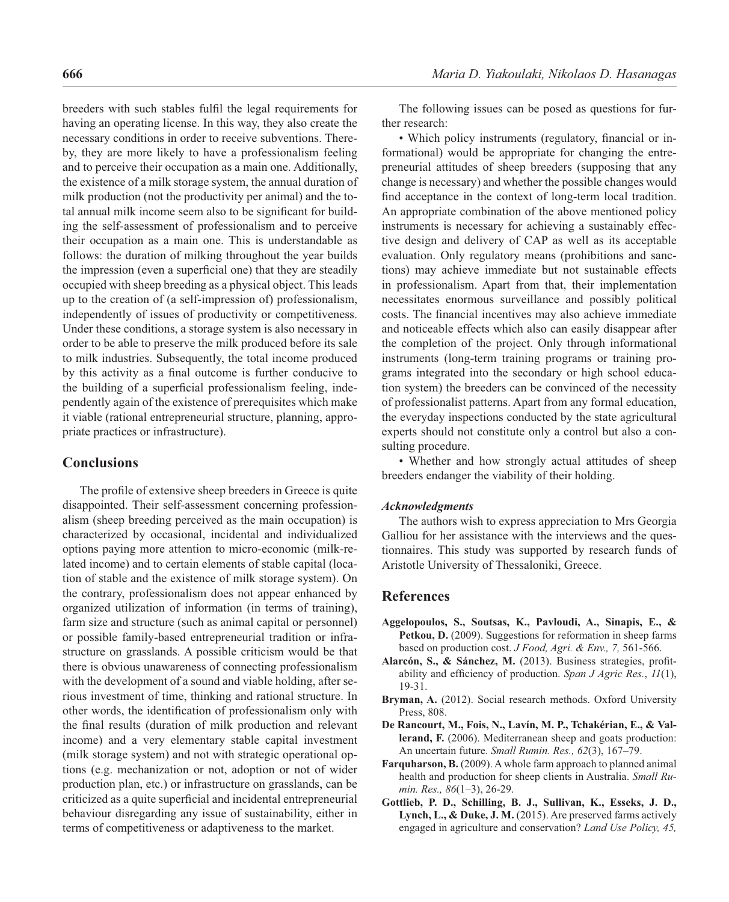breeders with such stables fulfil the legal requirements for having an operating license. In this way, they also create the necessary conditions in order to receive subventions. Thereby, they are more likely to have a professionalism feeling and to perceive their occupation as a main one. Additionally, the existence of a milk storage system, the annual duration of milk production (not the productivity per animal) and the total annual milk income seem also to be significant for building the self-assessment of professionalism and to perceive their occupation as a main one. This is understandable as follows: the duration of milking throughout the year builds the impression (even a superficial one) that they are steadily occupied with sheep breeding as a physical object. This leads up to the creation of (a self-impression of) professionalism, independently of issues of productivity or competitiveness. Under these conditions, a storage system is also necessary in order to be able to preserve the milk produced before its sale to milk industries. Subsequently, the total income produced by this activity as a final outcome is further conducive to the building of a superficial professionalism feeling, independently again of the existence of prerequisites which make it viable (rational entrepreneurial structure, planning, appropriate practices or infrastructure).

# **Conclusions**

The profile of extensive sheep breeders in Greece is quite disappointed. Their self-assessment concerning professionalism (sheep breeding perceived as the main occupation) is characterized by occasional, incidental and individualized options paying more attention to micro-economic (milk-related income) and to certain elements of stable capital (location of stable and the existence of milk storage system). On the contrary, professionalism does not appear enhanced by organized utilization of information (in terms of training), farm size and structure (such as animal capital or personnel) or possible family-based entrepreneurial tradition or infrastructure on grasslands. A possible criticism would be that there is obvious unawareness of connecting professionalism with the development of a sound and viable holding, after serious investment of time, thinking and rational structure. In other words, the identification of professionalism only with the final results (duration of milk production and relevant income) and a very elementary stable capital investment (milk storage system) and not with strategic operational options (e.g. mechanization or not, adoption or not of wider production plan, etc.) or infrastructure on grasslands, can be criticized as a quite superficial and incidental entrepreneurial behaviour disregarding any issue of sustainability, either in terms of competitiveness or adaptiveness to the market.

The following issues can be posed as questions for further research:

• Which policy instruments (regulatory, financial or informational) would be appropriate for changing the entrepreneurial attitudes of sheep breeders (supposing that any change is necessary) and whether the possible changes would find acceptance in the context of long-term local tradition. An appropriate combination of the above mentioned policy instruments is necessary for achieving a sustainably effective design and delivery of CAP as well as its acceptable evaluation. Only regulatory means (prohibitions and sanctions) may achieve immediate but not sustainable effects in professionalism. Apart from that, their implementation necessitates enormous surveillance and possibly political costs. The financial incentives may also achieve immediate and noticeable effects which also can easily disappear after the completion of the project. Only through informational instruments (long-term training programs or training programs integrated into the secondary or high school education system) the breeders can be convinced of the necessity of professionalist patterns. Apart from any formal education, the everyday inspections conducted by the state agricultural experts should not constitute only a control but also a consulting procedure.

• Whether and how strongly actual attitudes of sheep breeders endanger the viability of their holding.

#### *Acknowledgments*

The authors wish to express appreciation to Mrs Georgia Galliou for her assistance with the interviews and the questionnaires. This study was supported by research funds of Aristotle University of Thessaloniki, Greece.

# **References**

- **Aggelopoulos, S., Soutsas, K., Pavloudi, A., Sinapis, E., &**  Petkou, D. (2009). Suggestions for reformation in sheep farms based on production cost. *J Food, Agri. & Env., 7,* 561-566.
- Alarcón, S., & Sánchez, M. (2013). Business strategies, profitability and efficiency of production. *Span J Agric Res.*,  $II(1)$ , 19-31.
- **Bryman, A.** (2012). Social research methods. Oxford University Press, 808.
- **De Rancourt, M., Fois, N., Lavín, M. P., Tchakérian, E., & Vallerand, F.** (2006). Mediterranean sheep and goats production: An uncertain future. *Small Rumin. Res., 62*(3), 167–79.
- **Farquharson, B.** (2009). A whole farm approach to planned animal health and production for sheep clients in Australia. *Small Rumin. Res., 86*(1–3), 26-29.
- **Gottlieb, P. D., Schilling, B. J., Sullivan, K., Esseks, J. D., Lynch, L., & Duke, J. M.** (2015). Are preserved farms actively engaged in agriculture and conservation? *Land Use Policy, 45,*